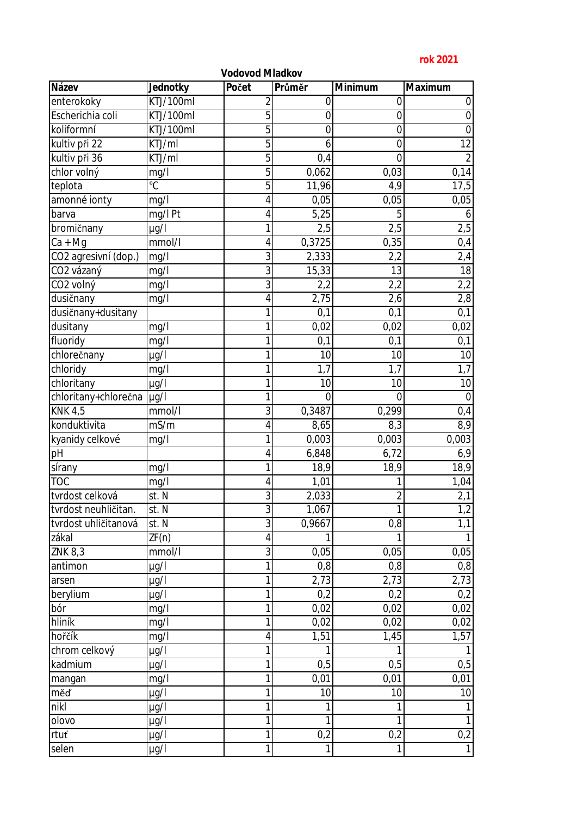## **rok 2021**

|                        |           | Vodovod Mladkov |                   |                |                  |
|------------------------|-----------|-----------------|-------------------|----------------|------------------|
| Název                  | Jednotky  | Počet           | Průměr            | Minimum        | Maximum          |
| enterokoky             | KTJ/100ml | $\overline{2}$  | $\overline{0}$    | $\mathbf 0$    | 0                |
| Escherichia coli       | KTJ/100ml | 5               | $\overline{0}$    | $\mathbf 0$    | $\boldsymbol{0}$ |
| koliformní             | KTJ/100ml | 5               | $\overline{0}$    | $\mathbf 0$    | $\mathbf 0$      |
| kultiv při 22          | KTJ/ml    | $\overline{5}$  | 6                 | $\mathbf 0$    | 12               |
| kultiv při 36          | KTJ/ml    | $\overline{5}$  | 0,4               | $\overline{0}$ | $\overline{2}$   |
| chlor volný            | mg/l      | $\overline{5}$  | 0,062             | 0,03           | 0,14             |
| teplota                | °C        | 5               | 11,96             | 4,9            | 17,5             |
| amonné ionty           | mg/l      | 4               | 0,05              | 0,05           | 0,05             |
| barva                  | mg/l Pt   | 4               | 5,25              | 5              | 6                |
| bromičnany             | $\mu$ g/l | 1               | 2,5               | 2,5            | 2,5              |
| $Ca + Mg$              | mmol/l    | 4               | 0,3725            | 0,35           | 0,4              |
| CO2 agresivní (dop.)   | mg/l      | 3               | 2,333             | 2,2            | 2,4              |
| CO <sub>2</sub> vázaný | mg/l      | $\overline{3}$  | 15,33             | 13             | $\overline{18}$  |
| CO <sub>2</sub> volný  | mg/l      | $\overline{3}$  | 2,2               | 2,2            | 2,2              |
| dusičnany              | mg/l      | 4               | 2,75              | 2,6            | 2,8              |
| dusičnany+dusitany     |           | 1               | 0,1               | 0,1            | 0,1              |
| dusitany               | mg/l      | 1               | 0,02              | 0,02           | 0,02             |
| fluoridy               | mg/l      | 1               | 0,1               | 0,1            | $0,1$            |
| chlorečnany            | µg/l      | 1               | 10 <sup>1</sup>   | 10             | 10               |
| chloridy               | mg/l      | 1               | 1,7               | 1,7            | 1,7              |
| chloritany             | $\mu$ g/l | 1               | 10                | 10             | 10               |
| chloritany+chlorečna   | $\mu$ g/l | 1               | $\overline{0}$    | $\overline{0}$ | $\overline{0}$   |
| KNK $4,5$              | mmol/l    | 3               | 0,3487            | 0,299          | 0,4              |
| konduktivita           | mS/m      | 4               | 8,65              | 8,3            | 8,9              |
| kyanidy celkové        | mg/l      | 1               | 0,003             | 0,003          | 0,003            |
| pH                     |           | 4               | 6,848             | 6,72           | 6,9              |
| sírany                 | mg/l      | 1               | 18,9              | 18,9           | 18,9             |
| <b>TOC</b>             | mg/l      | 4               | 1,01              |                | 1,04             |
| tvrdost celková        | st. N     | $\overline{3}$  | 2,033             | $\overline{2}$ | 2,1              |
| tvrdost neuhličitan.   | st. N     | $\overline{3}$  | 1,067             | 1              | 1,2              |
| tvrdost uhličitanová   | st. N     | 3               | 0,9667            | 0,8            | 1,1              |
| zákal                  | ZF(n)     | $\overline{4}$  | 1                 |                | $\mathbf{1}$     |
| <b>ZNK 8,3</b>         | mmol/l    | $\overline{3}$  | 0,05              | 0,05           | 0,05             |
| antimon                | $\mu$ g/l | 1               | 0,8               | 0,8            | 0,8              |
| arsen                  | µg/l      | 1               | $\overline{2,}73$ | 2,73           | 2,73             |
| berylium               | µg/l      | 1               | 0,2               | 0,2            | 0,2              |
| bór                    | mg/l      | 1               | 0,02              | 0,02           | 0,02             |
| hliník                 | mg/l      | 1               | 0,02              | 0,02           | 0,02             |
| hořčík                 | mg/l      | 4               | 1,51              | 1,45           | 1,57             |
| chrom celkový          | $\mu$ g/l | 1               |                   |                |                  |
| kadmium                | µg/l      | 1               | 0,5               | 0,5            | 0,5              |
| mangan                 | mg/l      | 1               | 0,01              | 0,01           | 0,01             |
| měď                    | µg/l      | 1               | 10                | 10             | 10               |
| nikl                   | $\mu$ g/l | 1               | 1                 |                | $\mathbf{1}$     |
| olovo                  | µg/l      | 1               |                   |                | $\mathbf{1}$     |
| rtuť                   | µg/l      | 1               | 0,2               | 0,2            | 0,2              |
| selen                  | µg/l      | 1               | $\mathbf{1}$      |                |                  |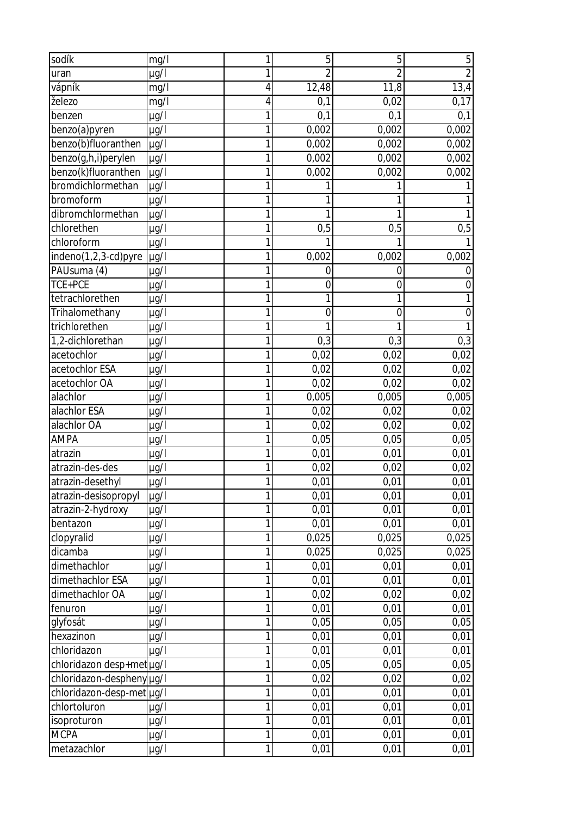| sodík                     | mg/l                      | 1              | 5              | 5              | 5              |
|---------------------------|---------------------------|----------------|----------------|----------------|----------------|
| uran                      | µg/l                      | 1              | $\overline{2}$ | $\overline{2}$ | $\overline{2}$ |
| vápník                    | mg/l                      | 4              | 12,48          | 11,8           | 13,4           |
| železo                    | mg/l                      | 4              | 0,1            | 0,02           | 0,17           |
| benzen                    | µg/l                      | $\overline{1}$ | 0,1            | 0,1            | 0,1            |
| benzo(a)pyren             | $\mu$ g/l                 | 1              | 0,002          | 0,002          | 0,002          |
| benzo(b)fluoranthen       | $\mu$ g/l                 | 1              | 0,002          | 0,002          | 0,002          |
| benzo(g,h,i)perylen       | $\mu$ g/l                 | 1              | 0,002          | 0,002          | 0,002          |
| benzo(k)fluoranthen       | $\mu g\overline{\Lambda}$ | 1              | 0,002          | 0,002          | 0,002          |
| bromdichlormethan         | µg/l                      | 1              |                |                |                |
| bromoform                 | $\mu$ g/l                 | 1              |                |                |                |
| dibromchlormethan         | $\mu$ g/l                 | $\mathbf{1}$   | 1              | 1              |                |
| chlorethen                | $\mu$ g/l                 | $\overline{1}$ | 0,5            | 0,5            | $0,5$          |
| chloroform                | $\mu$ g/l                 | 1              | 1              | 1              |                |
| indeno(1,2,3-cd)pyre      | $\mu$ g/l                 | 1              | 0,002          | 0,002          | 0,002          |
| PAUsuma (4)               | $\mu$ g/l                 | 1              | 0              | 0              | 0              |
| TCE+PCE                   | µg/l                      | 1              | 0              | 0              | $\mathbf 0$    |
| tetrachlorethen           | µg/l                      | 1              |                | 1              |                |
| Trihalomethany            | $\mu$ g/l                 | 1              | $\overline{0}$ | $\overline{0}$ | $\overline{0}$ |
| trichlorethen             | µg/l                      | 1              |                |                |                |
| 1,2-dichlorethan          | µg/l                      | 1              | 0,3            | 0,3            | 0,3            |
| acetochlor                | µg/l                      | 1              | 0,02           | 0,02           | 0,02           |
| acetochlor ESA            | µg/l                      | 1              | 0,02           | 0,02           | 0,02           |
| acetochlor OA             | µg/l                      | $\mathbf{1}$   | 0,02           | 0,02           | 0,02           |
| alachlor                  | µg/l                      | 1              | 0,005          | 0,005          | 0,005          |
| alachlor ESA              | µg/l                      | 1              | 0,02           | 0,02           | 0,02           |
| alachlor OA               | µg/l                      | 1              | 0,02           | 0,02           | 0,02           |
| <b>AMPA</b>               | µg/l                      | 1              | 0,05           | 0,05           | 0,05           |
| atrazin                   | µg/l                      | $\mathbf{1}$   | 0,01           | 0,01           | 0,01           |
| atrazin-des-des           | µg/l                      | 1              | 0,02           | 0,02           | 0,02           |
| atrazin-desethyl          | $\mu$ g/l                 | 1              | 0,01           | 0,01           | 0,01           |
| atrazin-desisopropyl      | $\mu$ g/l                 | $\mathbf{1}$   | 0,01           | 0,01           | 0,01           |
| atrazin-2-hydroxy         | $\mu$ g/l                 | 1              | 0,01           | 0,01           | 0,01           |
| bentazon                  | µg/l                      | $\mathbf{1}$   | 0,01           | 0,01           | 0,01           |
| clopyralid                | µg/l                      | 1              | 0,025          | 0,025          | 0,025          |
| dicamba                   | µg/l                      | $\mathbf{1}$   | 0,025          | 0,025          | 0,025          |
| dimethachlor              | µg/l                      | 1              | 0,01           | 0,01           | 0,01           |
| dimethachlor ESA          | $\mu$ g/l                 | $\overline{1}$ | 0,01           | 0,01           | 0,01           |
| dimethachlor OA           | µg/l                      | 1              | 0,02           | 0,02           | 0,02           |
| fenuron                   | µg/l                      | $\mathbf{1}$   | 0,01           | 0,01           | 0,01           |
| glyfosát                  | µg/l                      | $\overline{1}$ | 0,05           | 0,05           | 0,05           |
| hexazinon                 | µg/l                      | 1              | 0,01           | 0,01           | 0,01           |
| chloridazon               | µg/l                      | $\mathbf{1}$   | 0,01           | 0,01           | 0,01           |
| chloridazon desp+met µg/l |                           | $\overline{1}$ | 0,05           | 0,05           | 0,05           |
| chloridazon-despheny µg/l |                           | $\mathbf{1}$   | 0,02           | 0,02           | 0,02           |
| chloridazon-desp-met µg/l |                           | 1              | 0,01           | 0,01           | 0,01           |
| chlortoluron              | $\mu g/I$                 | 1              | 0,01           | 0,01           | 0,01           |
| isoproturon               | µg/l                      | $\mathbf{1}$   | 0,01           | 0,01           | 0,01           |
| <b>MCPA</b>               | µg/l                      | $\mathbf{1}$   | 0,01           | 0,01           | 0,01           |
| metazachlor               | µg/l                      | $\mathbf{1}$   | 0,01           | 0,01           | 0,01           |